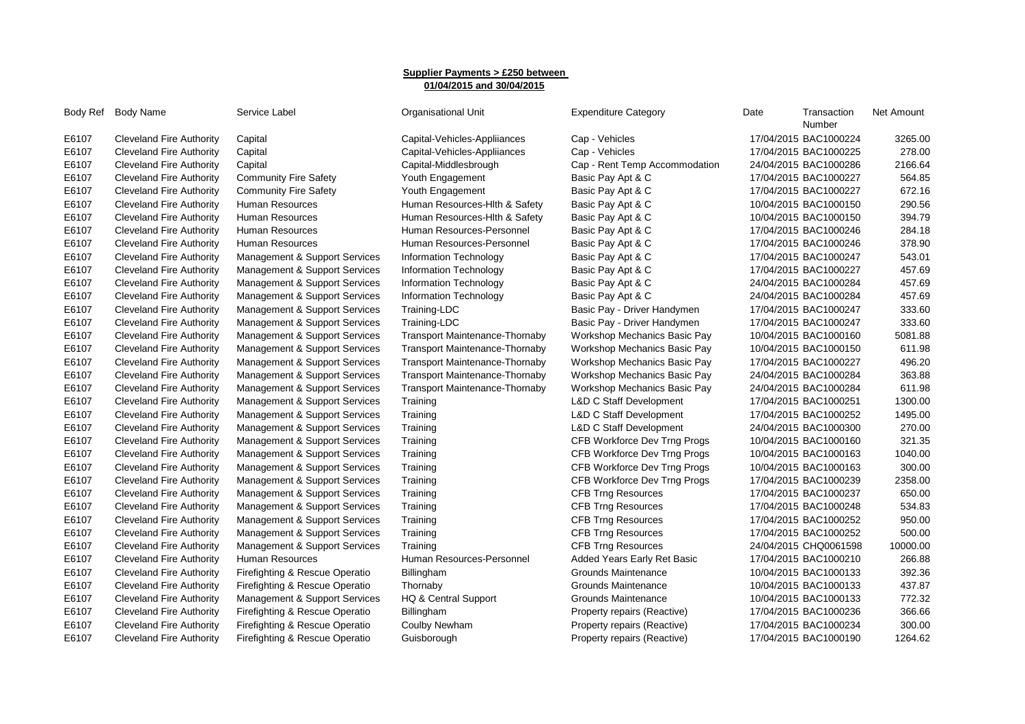## **Supplier Payments > £250 between 01/04/2015 and 30/04/2015**

|       | Body Ref Body Name              | Service Label                  | <b>Organisational Unit</b>            | <b>Expenditure Category</b>        | Date | Transaction<br>Number | Net Amount |
|-------|---------------------------------|--------------------------------|---------------------------------------|------------------------------------|------|-----------------------|------------|
| E6107 | Cleveland Fire Authority        | Capital                        | Capital-Vehicles-Appliiances          | Cap - Vehicles                     |      | 17/04/2015 BAC1000224 | 3265.00    |
| E6107 | <b>Cleveland Fire Authority</b> | Capital                        | Capital-Vehicles-Appliiances          | Cap - Vehicles                     |      | 17/04/2015 BAC1000225 | 278.00     |
| E6107 | <b>Cleveland Fire Authority</b> | Capital                        | Capital-Middlesbrough                 | Cap - Rent Temp Accommodation      |      | 24/04/2015 BAC1000286 | 2166.64    |
| E6107 | Cleveland Fire Authority        | <b>Community Fire Safety</b>   | Youth Engagement                      | Basic Pay Apt & C                  |      | 17/04/2015 BAC1000227 | 564.85     |
| E6107 | <b>Cleveland Fire Authority</b> | <b>Community Fire Safety</b>   | Youth Engagement                      | Basic Pay Apt & C                  |      | 17/04/2015 BAC1000227 | 672.16     |
| E6107 | <b>Cleveland Fire Authority</b> | Human Resources                | Human Resources-Hith & Safety         | Basic Pay Apt & C                  |      | 10/04/2015 BAC1000150 | 290.56     |
| E6107 | <b>Cleveland Fire Authority</b> | Human Resources                | Human Resources-Hith & Safety         | Basic Pay Apt & C                  |      | 10/04/2015 BAC1000150 | 394.79     |
| E6107 | <b>Cleveland Fire Authority</b> | Human Resources                | Human Resources-Personnel             | Basic Pay Apt & C                  |      | 17/04/2015 BAC1000246 | 284.18     |
| E6107 | <b>Cleveland Fire Authority</b> | Human Resources                | Human Resources-Personnel             | Basic Pay Apt & C                  |      | 17/04/2015 BAC1000246 | 378.90     |
| E6107 | <b>Cleveland Fire Authority</b> | Management & Support Services  | Information Technology                | Basic Pay Apt & C                  |      | 17/04/2015 BAC1000247 | 543.01     |
| E6107 | <b>Cleveland Fire Authority</b> | Management & Support Services  | Information Technology                | Basic Pay Apt & C                  |      | 17/04/2015 BAC1000227 | 457.69     |
| E6107 | <b>Cleveland Fire Authority</b> | Management & Support Services  | Information Technology                | Basic Pay Apt & C                  |      | 24/04/2015 BAC1000284 | 457.69     |
| E6107 | <b>Cleveland Fire Authority</b> | Management & Support Services  | Information Technology                | Basic Pay Apt & C                  |      | 24/04/2015 BAC1000284 | 457.69     |
| E6107 | Cleveland Fire Authority        | Management & Support Services  | Training-LDC                          | Basic Pay - Driver Handymen        |      | 17/04/2015 BAC1000247 | 333.60     |
| E6107 | Cleveland Fire Authority        | Management & Support Services  | Training-LDC                          | Basic Pay - Driver Handymen        |      | 17/04/2015 BAC1000247 | 333.60     |
| E6107 | <b>Cleveland Fire Authority</b> | Management & Support Services  | <b>Transport Maintenance-Thornaby</b> | Workshop Mechanics Basic Pay       |      | 10/04/2015 BAC1000160 | 5081.88    |
| E6107 | <b>Cleveland Fire Authority</b> | Management & Support Services  | <b>Transport Maintenance-Thornaby</b> | Workshop Mechanics Basic Pay       |      | 10/04/2015 BAC1000150 | 611.98     |
| E6107 | <b>Cleveland Fire Authority</b> | Management & Support Services  | Transport Maintenance-Thornaby        | Workshop Mechanics Basic Pay       |      | 17/04/2015 BAC1000227 | 496.20     |
| E6107 | <b>Cleveland Fire Authority</b> | Management & Support Services  | <b>Transport Maintenance-Thornaby</b> | Workshop Mechanics Basic Pay       |      | 24/04/2015 BAC1000284 | 363.88     |
| E6107 | Cleveland Fire Authority        | Management & Support Services  | <b>Transport Maintenance-Thornaby</b> | Workshop Mechanics Basic Pay       |      | 24/04/2015 BAC1000284 | 611.98     |
| E6107 | <b>Cleveland Fire Authority</b> | Management & Support Services  | Training                              | <b>L&amp;D C Staff Development</b> |      | 17/04/2015 BAC1000251 | 1300.00    |
| E6107 | <b>Cleveland Fire Authority</b> | Management & Support Services  | Training                              | <b>L&amp;D C Staff Development</b> |      | 17/04/2015 BAC1000252 | 1495.00    |
| E6107 | <b>Cleveland Fire Authority</b> | Management & Support Services  | Training                              | <b>L&amp;D C Staff Development</b> |      | 24/04/2015 BAC1000300 | 270.00     |
| E6107 | <b>Cleveland Fire Authority</b> | Management & Support Services  | Training                              | CFB Workforce Dev Trng Progs       |      | 10/04/2015 BAC1000160 | 321.35     |
| E6107 | <b>Cleveland Fire Authority</b> | Management & Support Services  | Training                              | CFB Workforce Dev Trng Progs       |      | 10/04/2015 BAC1000163 | 1040.00    |
| E6107 | <b>Cleveland Fire Authority</b> | Management & Support Services  | Training                              | CFB Workforce Dev Trng Progs       |      | 10/04/2015 BAC1000163 | 300.00     |
| E6107 | <b>Cleveland Fire Authority</b> | Management & Support Services  | Training                              | CFB Workforce Dev Trng Progs       |      | 17/04/2015 BAC1000239 | 2358.00    |
| E6107 | <b>Cleveland Fire Authority</b> | Management & Support Services  | Training                              | <b>CFB Trng Resources</b>          |      | 17/04/2015 BAC1000237 | 650.00     |
| E6107 | <b>Cleveland Fire Authority</b> | Management & Support Services  | Training                              | <b>CFB Trng Resources</b>          |      | 17/04/2015 BAC1000248 | 534.83     |
| E6107 | <b>Cleveland Fire Authority</b> | Management & Support Services  | Training                              | <b>CFB Trng Resources</b>          |      | 17/04/2015 BAC1000252 | 950.00     |
| E6107 | Cleveland Fire Authority        | Management & Support Services  | Training                              | <b>CFB Trng Resources</b>          |      | 17/04/2015 BAC1000252 | 500.00     |
| E6107 | <b>Cleveland Fire Authority</b> | Management & Support Services  | Training                              | <b>CFB Trng Resources</b>          |      | 24/04/2015 CHQ0061598 | 10000.00   |
| E6107 | <b>Cleveland Fire Authority</b> | Human Resources                | Human Resources-Personnel             | Added Years Early Ret Basic        |      | 17/04/2015 BAC1000210 | 266.88     |
| E6107 | <b>Cleveland Fire Authority</b> | Firefighting & Rescue Operatio | Billingham                            | Grounds Maintenance                |      | 10/04/2015 BAC1000133 | 392.36     |
| E6107 | <b>Cleveland Fire Authority</b> | Firefighting & Rescue Operatio | Thornaby                              | Grounds Maintenance                |      | 10/04/2015 BAC1000133 | 437.87     |
| E6107 | <b>Cleveland Fire Authority</b> | Management & Support Services  | HQ & Central Support                  | Grounds Maintenance                |      | 10/04/2015 BAC1000133 | 772.32     |
| E6107 | <b>Cleveland Fire Authority</b> | Firefighting & Rescue Operatio | Billingham                            | Property repairs (Reactive)        |      | 17/04/2015 BAC1000236 | 366.66     |
| E6107 | <b>Cleveland Fire Authority</b> | Firefighting & Rescue Operatio | Coulby Newham                         | Property repairs (Reactive)        |      | 17/04/2015 BAC1000234 | 300.00     |
| E6107 | <b>Cleveland Fire Authority</b> | Firefighting & Rescue Operatio | Guisborough                           | Property repairs (Reactive)        |      | 17/04/2015 BAC1000190 | 1264.62    |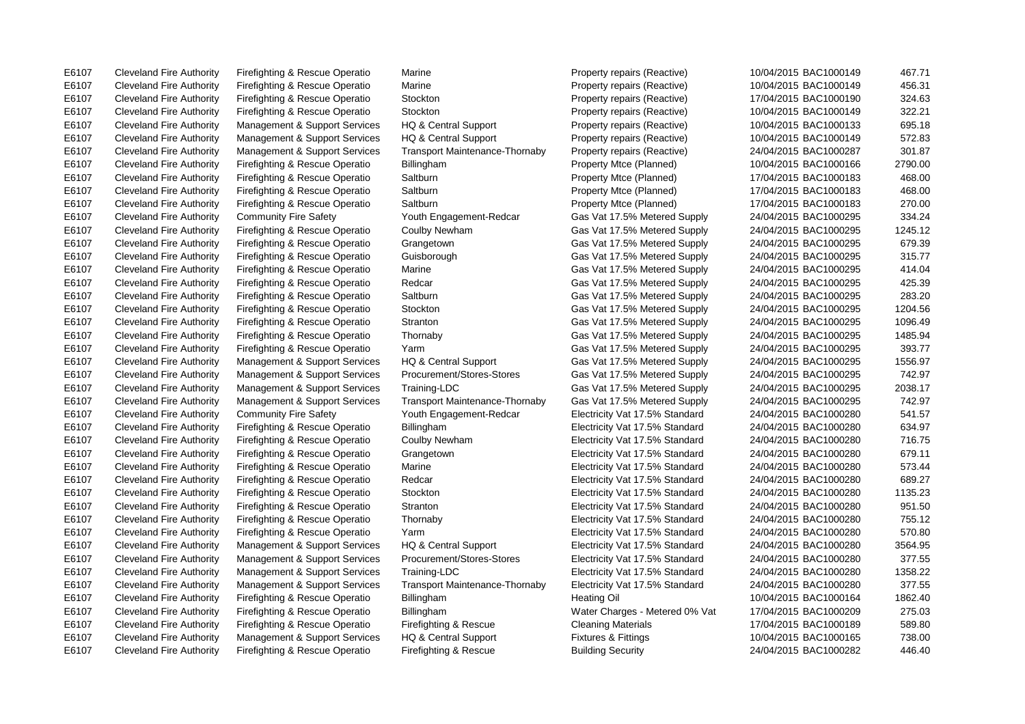E6107 Cleveland Fire Authority Firefighting & Rescue Operatio Marine Property repairs (Reactive) 10/04/2015 BAC1000149 467.71

E6107 Cleveland Fire Authority Firefighting & Rescue Operatio Firefighting & Rescue Building Security 24/04/2015 BAC1000282 446.40

E6107 Cleveland Fire Authority Firefighting & Rescue Operatio Marine Property repairs (Reactive) 10/04/2015 BAC1000149 456.31 E6107 Cleveland Fire Authority Firefighting & Rescue Operatio Stockton Property repairs (Reactive) 17/04/2015 BAC1000190 324.63 E6107 Cleveland Fire Authority Firefighting & Rescue Operatio Stockton Property repairs (Reactive) 10/04/2015 BAC1000149 322.21 E6107 Cleveland Fire Authority Management & Support Services HQ & Central Support Property repairs (Reactive) 10/04/2015 BAC1000133 695.18 E6107 Cleveland Fire Authority Management & Support Services HQ & Central Support Property repairs (Reactive) 10/04/2015 BAC1000149 572.83 E6107 Cleveland Fire Authority Management & Support Services Transport Maintenance-Thornaby Property repairs (Reactive) 24/04/2015 BAC1000287 301.87 E6107 Cleveland Fire Authority Firefighting & Rescue Operatio Billingham Property Mtce (Planned) 10/04/2015 BAC1000166 2790.00 E6107 Cleveland Fire Authority Firefighting & Rescue Operatio Saltburn Property Mtce (Planned) 17/04/2015 BAC1000183 468.00 E6107 Cleveland Fire Authority Firefighting & Rescue Operatio Saltburn Property Mtce (Planned) 17/04/2015 BAC1000183 468.00 E6107 Cleveland Fire Authority Firefighting & Rescue Operatio Saltburn Property Mtce (Planned) 17/04/2015 BAC1000183 270.00 E6107 Cleveland Fire Authority Community Fire Safety Youth Engagement-Redcar Gas Vat 17.5% Metered Supply 24/04/2015 BAC1000295 334.24 E6107 Cleveland Fire Authority Firefighting & Rescue Operatio Coulby Newham Gas Vat 17.5% Metered Supply 24/04/2015 BAC1000295 1245.12 E6107 Cleveland Fire Authority Firefighting & Rescue Operatio Grangetown Gas Vat 17.5% Metered Supply 24/04/2015 BAC1000295 679.39 E6107 Cleveland Fire Authority Firefighting & Rescue Operatio Guisborough Gas Vat 17.5% Metered Supply 24/04/2015 BAC1000295 315.77 E6107 Cleveland Fire Authority Firefighting & Rescue Operatio Marine Gas Vat 17.5% Metered Supply 24/04/2015 BAC1000295 414.04 E6107 Cleveland Fire Authority Firefighting & Rescue Operatio Redcar Gas Vat 17.5% Metered Supply 24/04/2015 BAC1000295 425.39 E6107 Cleveland Fire Authority Firefighting & Rescue Operatio Saltburn Gas Vat 17.5% Metered Supply 24/04/2015 BAC1000295 283.20 E6107 Cleveland Fire Authority Firefighting & Rescue Operatio Stockton Gas Vat 17.5% Metered Supply 24/04/2015 BAC1000295 1204.56 E6107 Cleveland Fire Authority Firefighting & Rescue Operatio Stranton Gas Vat 17.5% Metered Supply 24/04/2015 BAC1000295 1096.49 E6107 Cleveland Fire Authority Firefighting & Rescue Operatio Thornaby Gas Vat 17.5% Metered Supply 24/04/2015 BAC1000295 1485.94 E6107 Cleveland Fire Authority Firefighting & Rescue Operatio Yarm Gas Vat 17.5% Metered Supply 24/04/2015 BAC1000295 393.77 E6107 Cleveland Fire Authority Management & Support Services HQ & Central Support Gas Vat 17.5% Metered Supply 24/04/2015 BAC1000295 1556.97 E6107 Cleveland Fire Authority Management & Support Services Procurement/Stores-Stores Gas Vat 17.5% Metered Supply 24/04/2015 BAC1000295 742.97 E6107 Cleveland Fire Authority Management & Support Services Training-LDC Gas Vat 17.5% Metered Supply 24/04/2015 BAC1000295 2038.17 E6107 Cleveland Fire Authority Management & Support Services Transport Maintenance-Thornaby Gas Vat 17.5% Metered Supply 24/04/2015 BAC1000295 742.97 E6107 Cleveland Fire Authority Community Fire Safety Youth Engagement-Redcar Electricity Vat 17.5% Standard 24/04/2015 BAC1000280 541.57 E6107 Cleveland Fire Authority Firefighting & Rescue Operatio Billingham Electricity Vat 17.5% Standard 24/04/2015 BAC1000280 634.97 E6107 Cleveland Fire Authority Firefighting & Rescue Operatio Coulby Newham Electricity Vat 17.5% Standard 24/04/2015 BAC1000280 716.75 E6107 Cleveland Fire Authority Firefighting & Rescue Operatio Grangetown Electricity Vat 17.5% Standard 24/04/2015 BAC1000280 679.11 E6107 Cleveland Fire Authority Firefighting & Rescue Operatio Marine Electricity Vat 17.5% Standard 24/04/2015 BAC1000280 573.44 E6107 Cleveland Fire Authority Firefighting & Rescue Operatio Redcar Electricity Vat 17.5% Standard 24/04/2015 BAC1000280 689.27 E6107 Cleveland Fire Authority Firefighting & Rescue Operatio Stockton Electricity Vat 17.5% Standard 24/04/2015 BAC1000280 1135.23 E6107 Cleveland Fire Authority Firefighting & Rescue Operatio Stranton Electricity Vat 17.5% Standard 24/04/2015 BAC1000280 951.50 E6107 Cleveland Fire Authority Firefighting & Rescue Operatio Thornaby Electricity Vat 17.5% Standard 24/04/2015 BAC1000280 755.12 E6107 Cleveland Fire Authority Firefighting & Rescue Operatio Yarm Electricity Vat 17.5% Standard 24/04/2015 BAC1000280 570.80 E6107 Cleveland Fire Authority Management & Support Services HQ & Central Support Electricity Vat 17.5% Standard 24/04/2015 BAC1000280 3564.95 E6107 Cleveland Fire Authority Management & Support Services Procurement/Stores-Stores Electricity Vat 17.5% Standard 24/04/2015 BAC1000280 377.55 E6107 Cleveland Fire Authority Management & Support Services Training-LDC Electricity Vat 17.5% Standard 24/04/2015 BAC1000280 1358.22 E6107 Cleveland Fire Authority Management & Support Services Transport Maintenance-Thornaby Electricity Vat 17.5% Standard 24/04/2015 BAC1000280 377.55 E6107 Cleveland Fire Authority Firefighting & Rescue Operatio Billingham Heating Oil Heating Oil 10/04/2015 BAC1000164 1862.40 E6107 Cleveland Fire Authority Firefighting & Rescue Operatio Billingham Water Charges - Metered 0% Vat 17/04/2015 BAC1000209 275.03 E6107 Cleveland Fire Authority Firefighting & Rescue Operatio Firefighting & Rescue Cleaning Materials 17/04/2015 BAC1000189 589.80 E6107 Cleveland Fire Authority Management & Support Services HQ & Central Support Fixtures & Fittings 10/04/2015 BAC1000165 738.00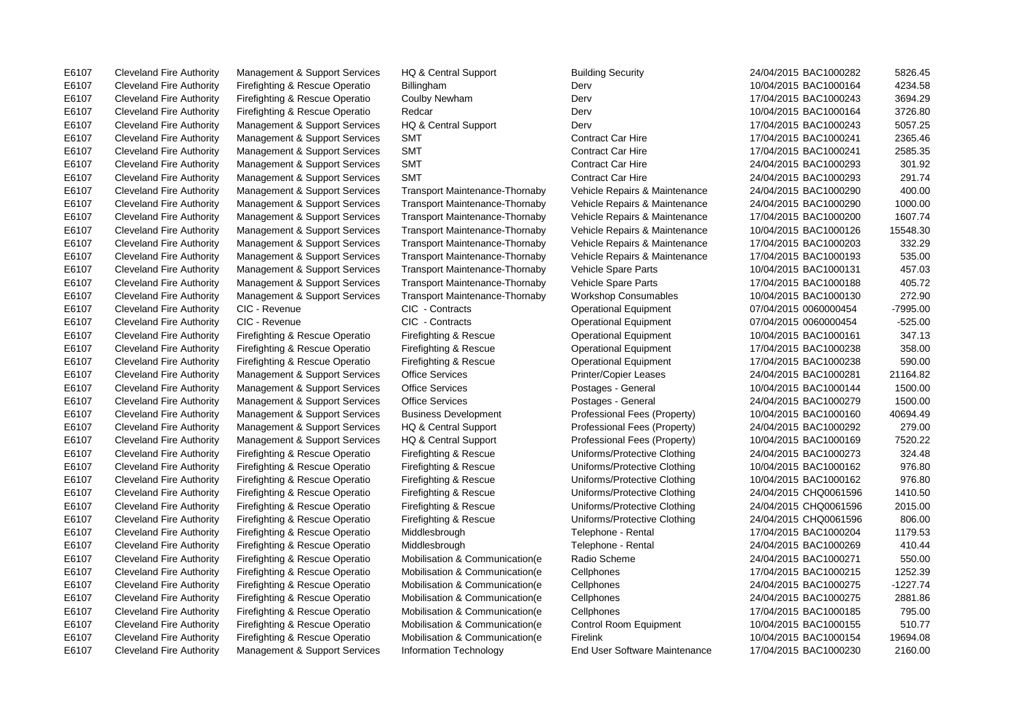E6107 Cleveland Fire Authority Management & Support Services Information Technology End User Software Maintenance 17/04/2015 BAC1000230 2160.00

E6107 Cleveland Fire Authority Management & Support Services HQ & Central Support Building Security 24/04/2015 BAC1000282 5826.45 E6107 Cleveland Fire Authority Firefighting & Rescue Operatio Billingham Derv Derv Derv 10/04/2015 BAC1000164 4234.58 E6107 Cleveland Fire Authority Firefighting & Rescue Operatio Coulby Newham Derv Derv 17/04/2015 BAC1000243 3694.29 E6107 Cleveland Fire Authority Firefighting & Rescue Operatio Redcar Derv Derv Derv 10/04/2015 BAC1000164 3726.80 E6107 Cleveland Fire Authority Management & Support Services HQ & Central Support Derv Derv 17/04/2015 BAC1000243 5057.25 E6107 Cleveland Fire Authority Management & Support Services SMT Contract Car Hire 17/04/2015 BAC1000241 2365.46 E6107 Cleveland Fire Authority Management & Support Services SMT Contract Car Hire 17/04/2015 BAC1000241 2585.35 E6107 Cleveland Fire Authority Management & Support Services SMT Contract Car Hire 24/04/2015 BAC1000293 301.92 E6107 Cleveland Fire Authority Management & Support Services SMT Contract Car Hire 24/04/2015 BAC1000293 291.74 E6107 Cleveland Fire Authority Management & Support Services Transport Maintenance-Thornaby Vehicle Repairs & Maintenance 24/04/2015 BAC1000290 400.00 E6107 Cleveland Fire Authority Management & Support Services Transport Maintenance-Thornaby Vehicle Repairs & Maintenance 24/04/2015 BAC1000290 1000.00 E6107 Cleveland Fire Authority Management & Support Services Transport Maintenance-Thornaby Vehicle Repairs & Maintenance 17/04/2015 BAC1000200 1607.74 E6107 Cleveland Fire Authority Management & Support Services Transport Maintenance-Thornaby Vehicle Repairs & Maintenance 10/04/2015 BAC1000126 15548.30 E6107 Cleveland Fire Authority Management & Support Services Transport Maintenance-Thornaby Vehicle Repairs & Maintenance 17/04/2015 BAC1000203 332.29 E6107 Cleveland Fire Authority Management & Support Services Transport Maintenance-Thornaby Vehicle Repairs & Maintenance 17/04/2015 BAC1000193 535.00 E6107 Cleveland Fire Authority Management & Support Services Transport Maintenance-Thornaby Vehicle Spare Parts 10/04/2015 BAC1000131 457.03 E6107 Cleveland Fire Authority Management & Support Services Transport Maintenance-Thornaby Vehicle Spare Parts 17/04/2015 BAC1000188 405.72 E6107 Cleveland Fire Authority Management & Support Services Transport Maintenance-Thornaby Workshop Consumables 10/04/2015 BAC1000130 272.90 E6107 Cleveland Fire Authority CIC - Revenue CIC - Contracts CIC - Contracts Operational Equipment 07/04/2015 0060000454 -7995.00 E6107 Cleveland Fire Authority CIC - Revenue CIC - Contracts CIC - Contracts Operational Equipment 07/04/2015 0060000454 -525.00 E6107 Cleveland Fire Authority Firefighting & Rescue Operatio Firefighting & Rescue Operational Equipment 10/04/2015 BAC1000161 347.13 E6107 Cleveland Fire Authority Firefighting & Rescue Operatio Firefighting & Rescue Operational Equipment 17/04/2015 BAC1000238 358.00 E6107 Cleveland Fire Authority Firefighting & Rescue Operatio Firefighting & Rescue Operational Equipment 17/04/2015 BAC1000238 590.00 E6107 Cleveland Fire Authority Management & Support Services Office Services Printer/Copier Leases 24/04/2015 BAC1000281 21164.82 E6107 Cleveland Fire Authority Management & Support Services Office Services Postages - General 10/04/2015 BAC1000144 1500.00 E6107 Cleveland Fire Authority Management & Support Services Office Services Postages - General 24/04/2015 BAC1000279 1500.00 E6107 Cleveland Fire Authority Management & Support Services Business Development Professional Fees (Property) 10/04/2015 BAC1000160 40694.49 E6107 Cleveland Fire Authority Management & Support Services HQ & Central Support Professional Fees (Property) 24/04/2015 BAC1000292 279.00 E6107 Cleveland Fire Authority Management & Support Services HQ & Central Support Professional Fees (Property) 10/04/2015 BAC1000169 7520.22 E6107 Cleveland Fire Authority Firefighting & Rescue Operatio Firefighting & Rescue Uniforms/Protective Clothing 24/04/2015 BAC1000273 324.48 E6107 Cleveland Fire Authority Firefighting & Rescue Operatio Firefighting & Rescue Uniforms/Protective Clothing 10/04/2015 BAC1000162 976.80 E6107 Cleveland Fire Authority Firefighting & Rescue Operatio Firefighting & Rescue Uniforms/Protective Clothing 10/04/2015 BAC1000162 976.80 E6107 Cleveland Fire Authority Firefighting & Rescue Operatio Firefighting & Rescue Uniforms/Protective Clothing 24/04/2015 CHQ0061596 1410.50 E6107 Cleveland Fire Authority Firefighting & Rescue Operatio Firefighting & Rescue Uniforms/Protective Clothing 24/04/2015 CHQ0061596 2015.00 E6107 Cleveland Fire Authority Firefighting & Rescue Operatio Firefighting & Rescue Uniforms/Protective Clothing 24/04/2015 CHQ0061596 806.00 E6107 Cleveland Fire Authority Firefighting & Rescue Operatio Middlesbrough Telephone - Rental 17/04/2015 BAC1000204 1179.53 E6107 Cleveland Fire Authority Firefighting & Rescue Operatio Middlesbrough Telephone - Rental 24/04/2015 BAC1000269 410.44 E6107 Cleveland Fire Authority Firefighting & Rescue Operatio Mobilisation & Communication(e Radio Scheme 24/04/2015 BAC1000271 550.00 E6107 Cleveland Fire Authority Firefighting & Rescue Operatio Mobilisation & Communication(e Cellphones 17/04/2015 BAC1000215 1252.39 E6107 Cleveland Fire Authority Firefighting & Rescue Operatio Mobilisation & Communication(e Cellphones 24/04/2015 BAC1000275 -1227.74 E6107 Cleveland Fire Authority Firefighting & Rescue Operatio Mobilisation & Communication(e Cellphones 24/04/2015 BAC1000275 2881.86 E6107 Cleveland Fire Authority Firefighting & Rescue Operatio Mobilisation & Communication(e Cellphones 17/04/2015 BAC1000185 795.00 E6107 Cleveland Fire Authority Firefighting & Rescue Operatio Mobilisation & Communication(e Control Room Equipment 10/04/2015 BAC1000155 510.77 E6107 Cleveland Fire Authority Firefighting & Rescue Operatio Mobilisation & Communication(e Firelink 10/04/2015 BAC1000154 19694.08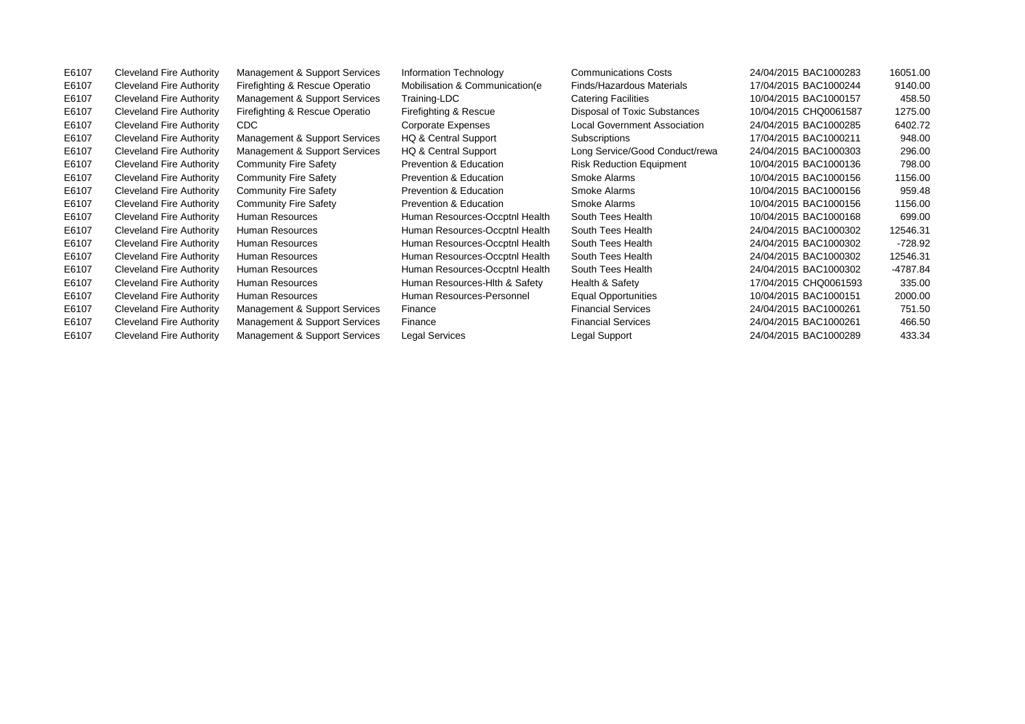| E6107 | <b>Cleveland Fire Authority</b> | Management & Support Services  | Information Technology            | <b>Communications Costs</b>         | 24/04/2015 BAC1000283 | 16051.00  |
|-------|---------------------------------|--------------------------------|-----------------------------------|-------------------------------------|-----------------------|-----------|
| E6107 | <b>Cleveland Fire Authority</b> | Firefighting & Rescue Operatio | Mobilisation & Communication (e)  | Finds/Hazardous Materials           | 17/04/2015 BAC1000244 | 9140.00   |
| E6107 | Cleveland Fire Authority        | Management & Support Services  | Training-LDC                      | <b>Catering Facilities</b>          | 10/04/2015 BAC1000157 | 458.50    |
| E6107 | <b>Cleveland Fire Authority</b> | Firefighting & Rescue Operatio | Firefighting & Rescue             | Disposal of Toxic Substances        | 10/04/2015 CHQ0061587 | 1275.00   |
| E6107 | <b>Cleveland Fire Authority</b> | CDC.                           | <b>Corporate Expenses</b>         | <b>Local Government Association</b> | 24/04/2015 BAC1000285 | 6402.72   |
| E6107 | <b>Cleveland Fire Authority</b> | Management & Support Services  | HQ & Central Support              | Subscriptions                       | 17/04/2015 BAC1000211 | 948.00    |
| E6107 | <b>Cleveland Fire Authority</b> | Management & Support Services  | HQ & Central Support              | Long Service/Good Conduct/rewa      | 24/04/2015 BAC1000303 | 296.00    |
| E6107 | <b>Cleveland Fire Authority</b> | <b>Community Fire Safety</b>   | Prevention & Education            | <b>Risk Reduction Equipment</b>     | 10/04/2015 BAC1000136 | 798.00    |
| E6107 | <b>Cleveland Fire Authority</b> | <b>Community Fire Safety</b>   | Prevention & Education            | Smoke Alarms                        | 10/04/2015 BAC1000156 | 1156.00   |
| E6107 | <b>Cleveland Fire Authority</b> | <b>Community Fire Safety</b>   | Prevention & Education            | Smoke Alarms                        | 10/04/2015 BAC1000156 | 959.48    |
| E6107 | Cleveland Fire Authority        | <b>Community Fire Safety</b>   | <b>Prevention &amp; Education</b> | Smoke Alarms                        | 10/04/2015 BAC1000156 | 1156.00   |
| E6107 | <b>Cleveland Fire Authority</b> | Human Resources                | Human Resources-Occptnl Health    | South Tees Health                   | 10/04/2015 BAC1000168 | 699.00    |
| E6107 | <b>Cleveland Fire Authority</b> | Human Resources                | Human Resources-Occptnl Health    | South Tees Health                   | 24/04/2015 BAC1000302 | 12546.31  |
| E6107 | Cleveland Fire Authority        | Human Resources                | Human Resources-Occptnl Health    | South Tees Health                   | 24/04/2015 BAC1000302 | $-728.92$ |
| E6107 | <b>Cleveland Fire Authority</b> | Human Resources                | Human Resources-Occptnl Health    | South Tees Health                   | 24/04/2015 BAC1000302 | 12546.31  |
| E6107 | Cleveland Fire Authority        | Human Resources                | Human Resources-Occptnl Health    | South Tees Health                   | 24/04/2015 BAC1000302 | -4787.84  |
| E6107 | <b>Cleveland Fire Authority</b> | Human Resources                | Human Resources-Hith & Safety     | Health & Safety                     | 17/04/2015 CHQ0061593 | 335.00    |
| E6107 | <b>Cleveland Fire Authority</b> | Human Resources                | Human Resources-Personnel         | <b>Equal Opportunities</b>          | 10/04/2015 BAC1000151 | 2000.00   |
| E6107 | <b>Cleveland Fire Authority</b> | Management & Support Services  | Finance                           | <b>Financial Services</b>           | 24/04/2015 BAC1000261 | 751.50    |
| E6107 | <b>Cleveland Fire Authority</b> | Management & Support Services  | Finance                           | <b>Financial Services</b>           | 24/04/2015 BAC1000261 | 466.50    |
| E6107 | <b>Cleveland Fire Authority</b> | Management & Support Services  | Legal Services                    | Legal Support                       | 24/04/2015 BAC1000289 | 433.34    |
|       |                                 |                                |                                   |                                     |                       |           |
|       |                                 |                                |                                   |                                     |                       |           |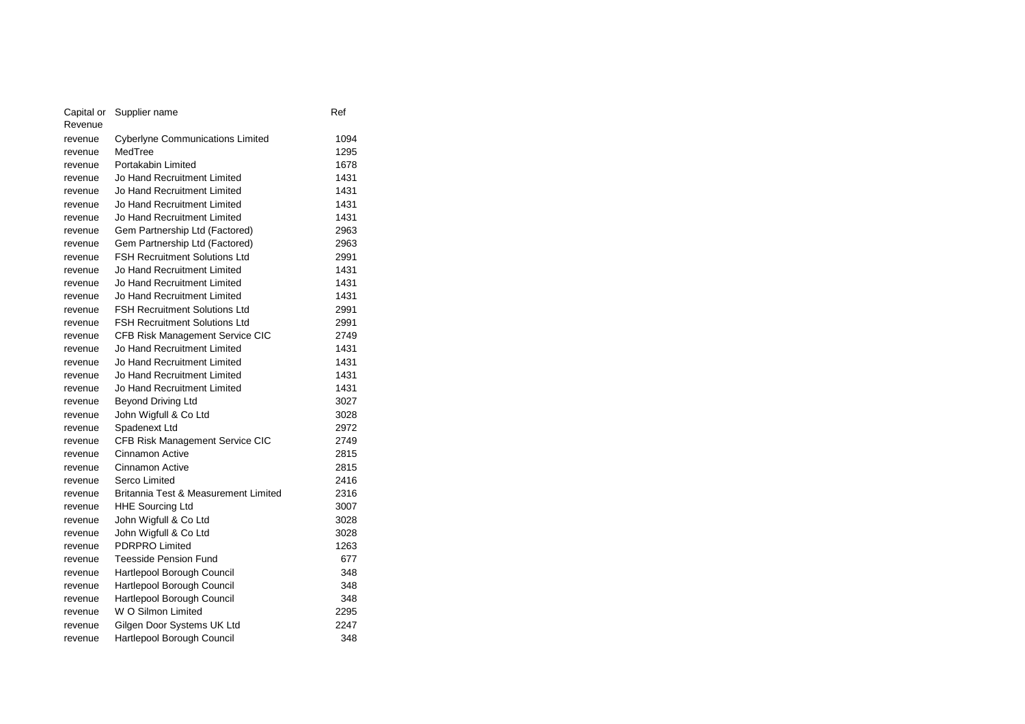| Capital or | Supplier name                           | Ref  |
|------------|-----------------------------------------|------|
| Revenue    |                                         |      |
| revenue    | <b>Cyberlyne Communications Limited</b> | 1094 |
| revenue    | MedTree                                 | 1295 |
| revenue    | Portakabin Limited                      | 1678 |
| revenue    | Jo Hand Recruitment Limited             | 1431 |
| revenue    | Jo Hand Recruitment Limited             | 1431 |
| revenue    | Jo Hand Recruitment Limited             | 1431 |
| revenue    | Jo Hand Recruitment Limited             | 1431 |
| revenue    | Gem Partnership Ltd (Factored)          | 2963 |
| revenue    | Gem Partnership Ltd (Factored)          | 2963 |
| revenue    | <b>FSH Recruitment Solutions Ltd</b>    | 2991 |
| revenue    | Jo Hand Recruitment Limited             | 1431 |
| revenue    | Jo Hand Recruitment Limited             | 1431 |
| revenue    | Jo Hand Recruitment Limited             | 1431 |
| revenue    | <b>FSH Recruitment Solutions Ltd</b>    | 2991 |
| revenue    | <b>FSH Recruitment Solutions Ltd</b>    | 2991 |
| revenue    | CFB Risk Management Service CIC         | 2749 |
| revenue    | Jo Hand Recruitment Limited             | 1431 |
| revenue    | Jo Hand Recruitment Limited             | 1431 |
| revenue    | Jo Hand Recruitment Limited             | 1431 |
| revenue    | Jo Hand Recruitment Limited             | 1431 |
| revenue    | <b>Beyond Driving Ltd</b>               | 3027 |
| revenue    | John Wigfull & Co Ltd                   | 3028 |
| revenue    | Spadenext Ltd                           | 2972 |
| revenue    | CFB Risk Management Service CIC         | 2749 |
| revenue    | Cinnamon Active                         | 2815 |
| revenue    | Cinnamon Active                         | 2815 |
| revenue    | Serco Limited                           | 2416 |
| revenue    | Britannia Test & Measurement Limited    | 2316 |
| revenue    | <b>HHE Sourcing Ltd</b>                 | 3007 |
| revenue    | John Wigfull & Co Ltd                   | 3028 |
| revenue    | John Wigfull & Co Ltd                   | 3028 |
| revenue    | <b>PDRPRO Limited</b>                   | 1263 |
| revenue    | <b>Teesside Pension Fund</b>            | 677  |
| revenue    | Hartlepool Borough Council              | 348  |
| revenue    | Hartlepool Borough Council              | 348  |
| revenue    | Hartlepool Borough Council              | 348  |
| revenue    | W O Silmon Limited                      | 2295 |
| revenue    | Gilgen Door Systems UK Ltd              | 2247 |
| revenue    | Hartlepool Borough Council              | 348  |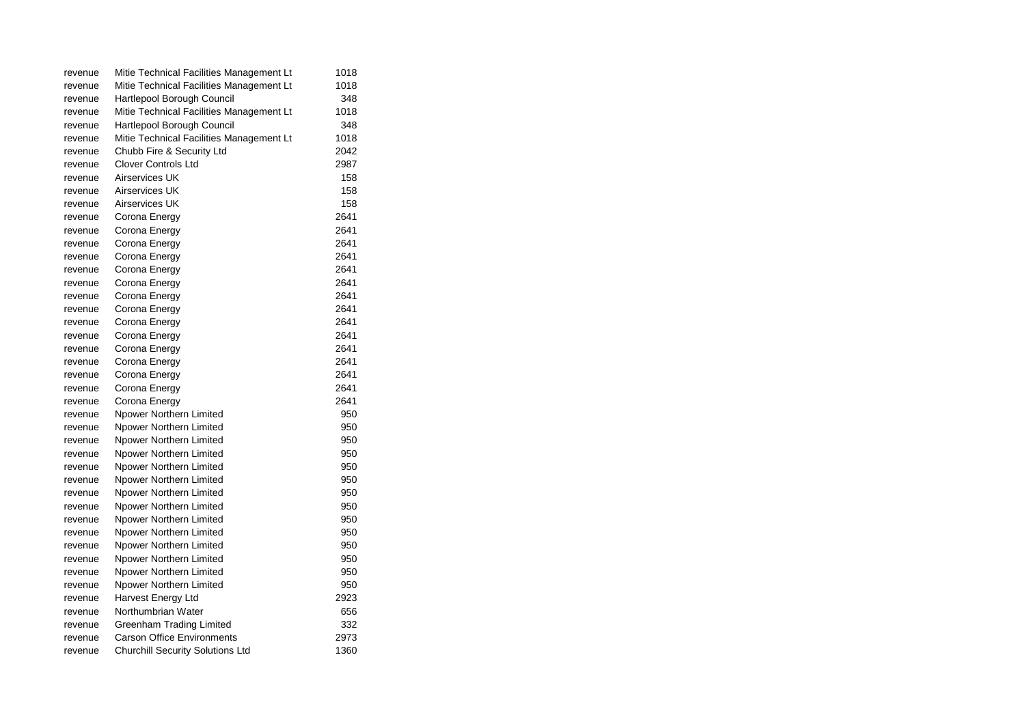| revenue | Mitie Technical Facilities Management Lt | 1018 |
|---------|------------------------------------------|------|
| revenue | Mitie Technical Facilities Management Lt | 1018 |
| revenue | Hartlepool Borough Council               | 348  |
| revenue | Mitie Technical Facilities Management Lt | 1018 |
| revenue | Hartlepool Borough Council               | 348  |
| revenue | Mitie Technical Facilities Management Lt | 1018 |
| revenue | Chubb Fire & Security Ltd                | 2042 |
| revenue | <b>Clover Controls Ltd</b>               | 2987 |
| revenue | Airservices UK                           | 158  |
| revenue | Airservices UK                           | 158  |
| revenue | Airservices UK                           | 158  |
| revenue | Corona Energy                            | 2641 |
| revenue | Corona Energy                            | 2641 |
| revenue | Corona Energy                            | 2641 |
| revenue | Corona Energy                            | 2641 |
| revenue | Corona Energy                            | 2641 |
| revenue | Corona Energy                            | 2641 |
| revenue | Corona Energy                            | 2641 |
| revenue | Corona Energy                            | 2641 |
| revenue | Corona Energy                            | 2641 |
| revenue | Corona Energy                            | 2641 |
| revenue | Corona Energy                            | 2641 |
| revenue | Corona Energy                            | 2641 |
| revenue | Corona Energy                            | 2641 |
| revenue | Corona Energy                            | 2641 |
| revenue | Corona Energy                            | 2641 |
| revenue | Npower Northern Limited                  | 950  |
| revenue | Npower Northern Limited                  | 950  |
| revenue | Npower Northern Limited                  | 950  |
| revenue | Npower Northern Limited                  | 950  |
| revenue | Npower Northern Limited                  | 950  |
| revenue | Npower Northern Limited                  | 950  |
| revenue | Npower Northern Limited                  | 950  |
| revenue | Npower Northern Limited                  | 950  |
| revenue | Npower Northern Limited                  | 950  |
| revenue | Npower Northern Limited                  | 950  |
| revenue | Npower Northern Limited                  | 950  |
| revenue | Npower Northern Limited                  | 950  |
| revenue | Npower Northern Limited                  | 950  |
| revenue | Npower Northern Limited                  | 950  |
| revenue | Harvest Energy Ltd                       | 2923 |
| revenue | Northumbrian Water                       | 656  |
| revenue | <b>Greenham Trading Limited</b>          | 332  |
| revenue | <b>Carson Office Environments</b>        | 2973 |
| revenue | <b>Churchill Security Solutions Ltd</b>  | 1360 |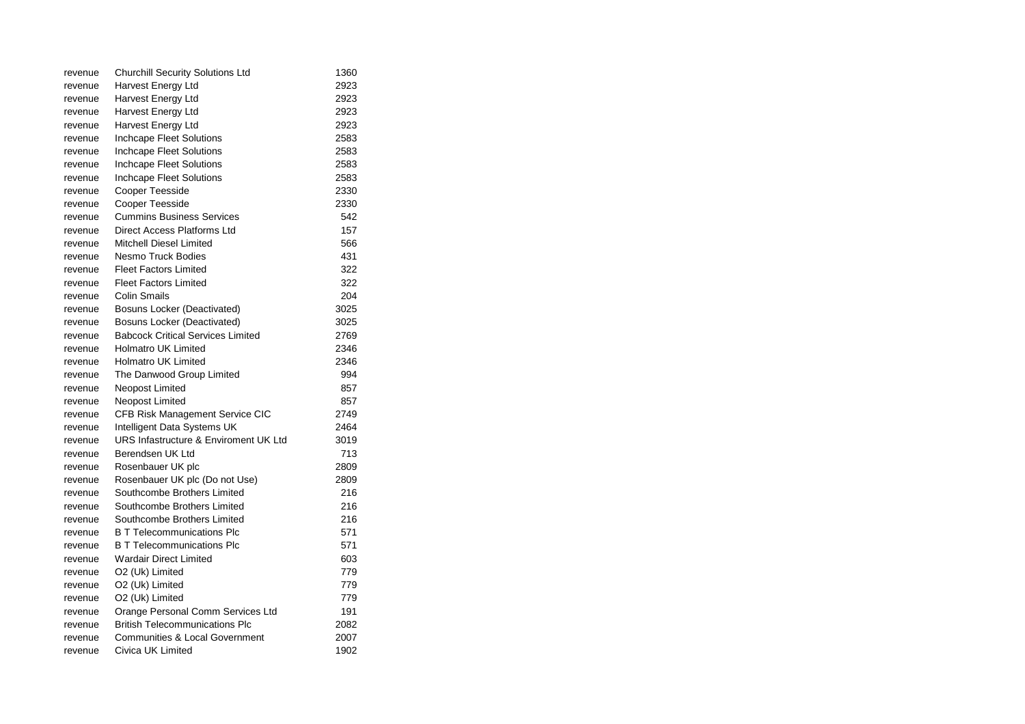| revenue | <b>Churchill Security Solutions Ltd</b>   | 1360 |
|---------|-------------------------------------------|------|
| revenue | Harvest Energy Ltd                        | 2923 |
| revenue | Harvest Energy Ltd                        | 2923 |
| revenue | Harvest Energy Ltd                        | 2923 |
| revenue | Harvest Energy Ltd                        | 2923 |
| revenue | Inchcape Fleet Solutions                  | 2583 |
| revenue | Inchcape Fleet Solutions                  | 2583 |
| revenue | Inchcape Fleet Solutions                  | 2583 |
| revenue | Inchcape Fleet Solutions                  | 2583 |
| revenue | Cooper Teesside                           | 2330 |
| revenue | <b>Cooper Teesside</b>                    | 2330 |
| revenue | <b>Cummins Business Services</b>          | 542  |
| revenue | Direct Access Platforms Ltd               | 157  |
| revenue | Mitchell Diesel Limited                   | 566  |
| revenue | Nesmo Truck Bodies                        | 431  |
| revenue | <b>Fleet Factors Limited</b>              | 322  |
| revenue | <b>Fleet Factors Limited</b>              | 322  |
| revenue | Colin Smails                              | 204  |
| revenue | Bosuns Locker (Deactivated)               | 3025 |
| revenue | <b>Bosuns Locker (Deactivated)</b>        | 3025 |
| revenue | <b>Babcock Critical Services Limited</b>  | 2769 |
| revenue | <b>Holmatro UK Limited</b>                | 2346 |
| revenue | <b>Holmatro UK Limited</b>                | 2346 |
| revenue | The Danwood Group Limited                 | 994  |
| revenue | Neopost Limited                           | 857  |
| revenue | Neopost Limited                           | 857  |
| revenue | CFB Risk Management Service CIC           | 2749 |
| revenue | Intelligent Data Systems UK               | 2464 |
| revenue | URS Infastructure & Enviroment UK Ltd     | 3019 |
| revenue | Berendsen UK Ltd                          | 713  |
| revenue | Rosenbauer UK plc                         | 2809 |
| revenue | Rosenbauer UK plc (Do not Use)            | 2809 |
| revenue | Southcombe Brothers Limited               | 216  |
| revenue | Southcombe Brothers Limited               | 216  |
| revenue | Southcombe Brothers Limited               | 216  |
| revenue | <b>B T Telecommunications Plc</b>         | 571  |
| revenue | <b>B T Telecommunications Plc</b>         | 571  |
| revenue | <b>Wardair Direct Limited</b>             | 603  |
| revenue | O2 (Uk) Limited                           | 779  |
| revenue | O2 (Uk) Limited                           | 779  |
| revenue | O2 (Uk) Limited                           | 779  |
| revenue | Orange Personal Comm Services Ltd         | 191  |
| revenue | <b>British Telecommunications Plc</b>     | 2082 |
| revenue | <b>Communities &amp; Local Government</b> | 2007 |
| revenue | Civica UK Limited                         | 1902 |